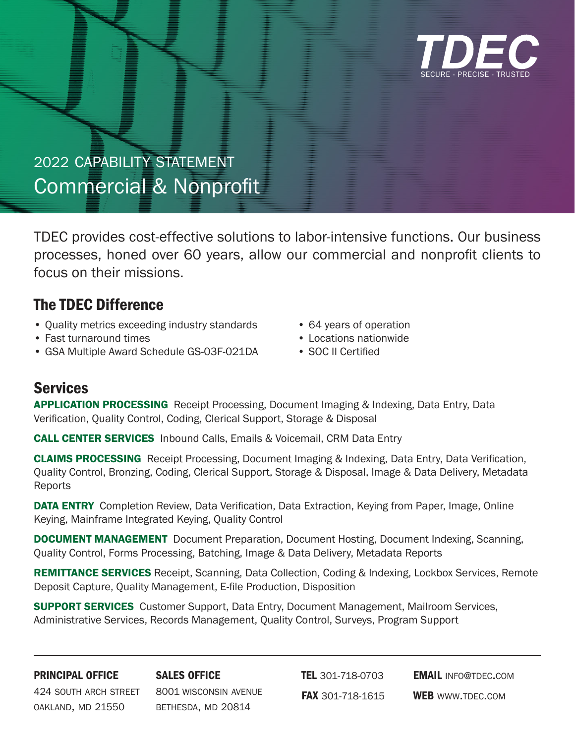

# 2022 capability statement Commercial & Nonprofit

TDEC provides cost-effective solutions to labor-intensive functions. Our business processes, honed over 60 years, allow our commercial and nonprofit clients to focus on their missions.

## The TDEC Difference

- Quality metrics exceeding industry standards
- Fast turnaround times
- GSA Multiple Award Schedule GS-03F-021DA
- 64 years of operation
- Locations nationwide
- SOC II Certified

# Services

**APPLICATION PROCESSING** Receipt Processing, Document Imaging & Indexing, Data Entry, Data Verification, Quality Control, Coding, Clerical Support, Storage & Disposal

CALL CENTER SERVICES Inbound Calls, Emails & Voicemail, CRM Data Entry

CLAIMS PROCESSING Receipt Processing, Document Imaging & Indexing, Data Entry, Data Verification, Quality Control, Bronzing, Coding, Clerical Support, Storage & Disposal, Image & Data Delivery, Metadata Reports

DATA ENTRY Completion Review, Data Verification, Data Extraction, Keying from Paper, Image, Online Keying, Mainframe Integrated Keying, Quality Control

DOCUMENT MANAGEMENT Document Preparation, Document Hosting, Document Indexing, Scanning, Quality Control, Forms Processing, Batching, Image & Data Delivery, Metadata Reports

REMITTANCE SERVICES Receipt, Scanning, Data Collection, Coding & Indexing, Lockbox Services, Remote Deposit Capture, Quality Management, E-file Production, Disposition

SUPPORT SERVICES Customer Support, Data Entry, Document Management, Mailroom Services, Administrative Services, Records Management, Quality Control, Surveys, Program Support

#### principal office

sales office

424 south arch street oakland, md 21550

8001 wisconsin avenue bethesda, md 20814

**TEL** 301-718-0703 FAX 301-718-1615 **EMAIL INFO@TDEC.COM** WEB WWW.TDEC.COM